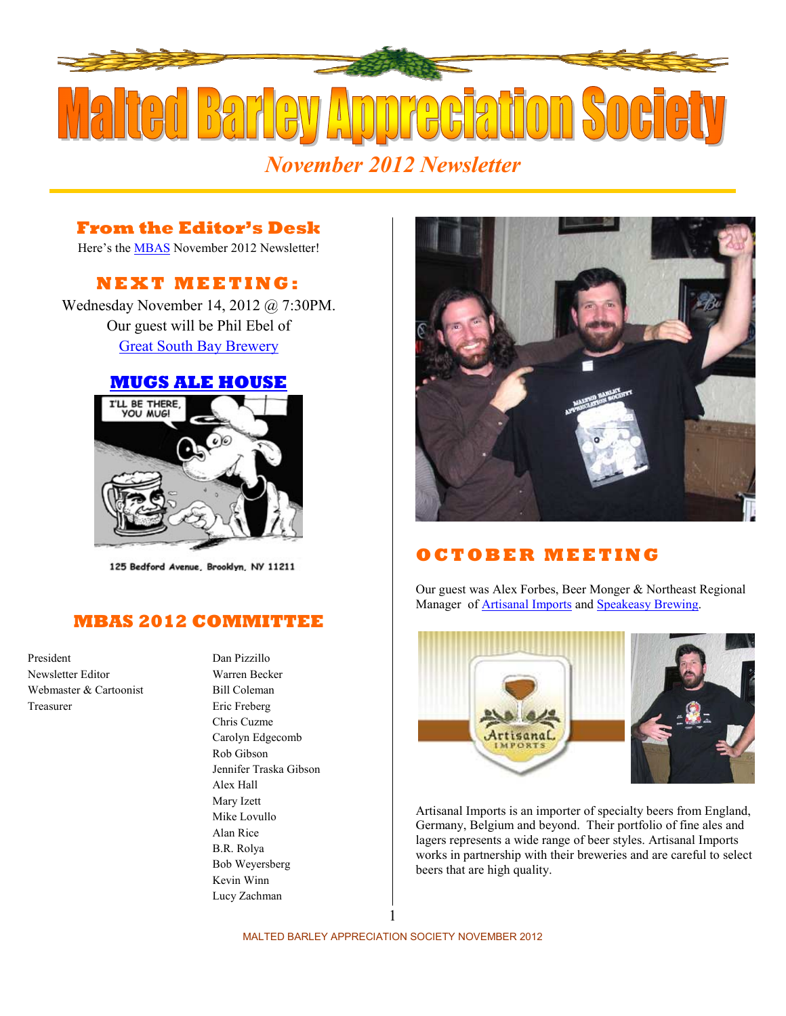

## **From the Editor's Desk**

Here's the **MBAS** November 2012 Newsletter!

# **N E X T M E E T I N G :**

Wednesday November 14, 2012 @ 7:30PM. Our guest will be Phil Ebel of [Great South Bay Brewery](http://greatsouthbaybrewery.com/) 

#### **[MUGS ALE HOUSE](http://www.mugsalehouse.com/)**



125 Bedford Avenue, Brooklyn, NY 11211

#### **MBAS 2012 COMMITTEE**

President Dan Pizzillo Newsletter Editor Warren Becker Webmaster & Cartoonist Bill Coleman Treasurer Eric Freberg

Chris Cuzme Carolyn Edgecomb Rob Gibson Jennifer Traska Gibson Alex Hall Mary Izett Mike Lovullo Alan Rice B.R. Rolya Bob Weyersberg Kevin Winn Lucy Zachman



# **O C T O B E R M E E T I N G**

Our guest was Alex Forbes, Beer Monger & Northeast Regional Manager of **Artisanal Imports** and **Speakeasy Brewing**.



Artisanal Imports is an importer of specialty beers from England, Germany, Belgium and beyond. Their portfolio of fine ales and lagers represents a wide range of beer styles. Artisanal Imports works in partnership with their breweries and are careful to select beers that are high quality.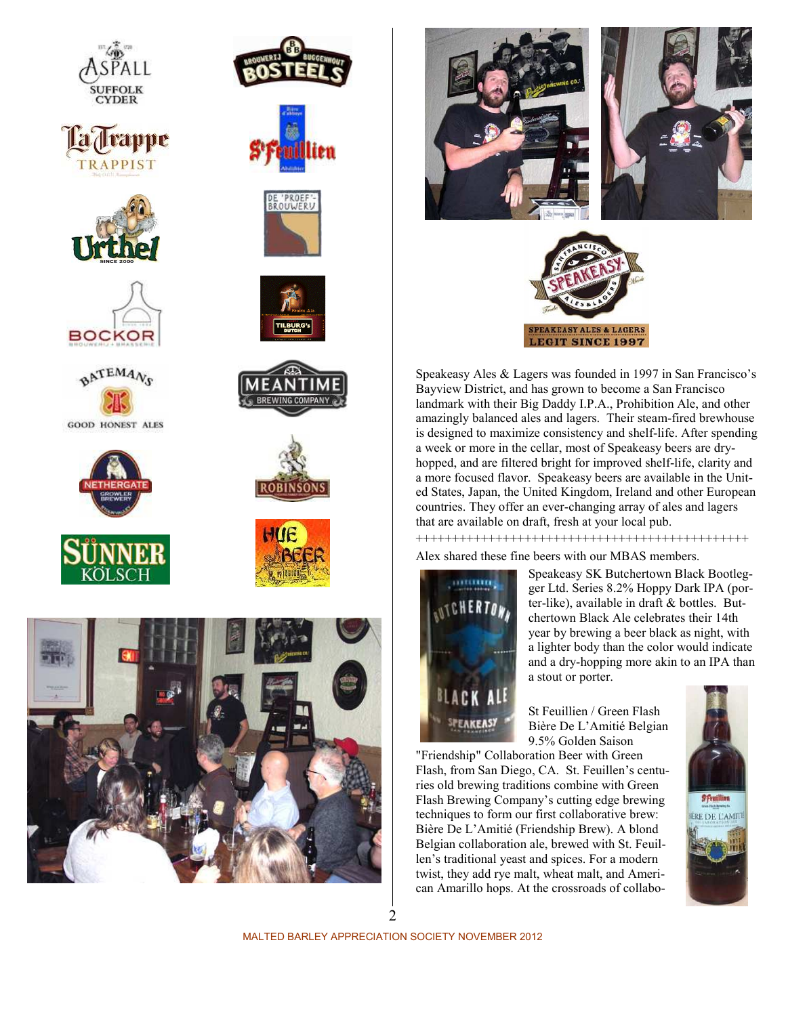









**GOOD HONEST ALES** 

























Speakeasy Ales & Lagers was founded in 1997 in San Francisco's Bayview District, and has grown to become a San Francisco landmark with their Big Daddy I.P.A., Prohibition Ale, and other amazingly balanced ales and lagers. Their steam-fired brewhouse is designed to maximize consistency and shelf-life. After spending a week or more in the cellar, most of Speakeasy beers are dryhopped, and are filtered bright for improved shelf-life, clarity and a more focused flavor. Speakeasy beers are available in the United States, Japan, the United Kingdom, Ireland and other European countries. They offer an ever-changing array of ales and lagers that are available on draft, fresh at your local pub.

++++++++++++++++++++++++++++++++++++++++++++++

Alex shared these fine beers with our MBAS members.



Speakeasy SK Butchertown Black Bootlegger Ltd. Series 8.2% Hoppy Dark IPA (porter-like), available in draft & bottles. Butchertown Black Ale celebrates their 14th year by brewing a beer black as night, with a lighter body than the color would indicate and a dry-hopping more akin to an IPA than a stout or porter.

St Feuillien / Green Flash Bière De L'Amitié Belgian 9.5% Golden Saison

"Friendship" Collaboration Beer with Green Flash, from San Diego, CA. St. Feuillen's centuries old brewing traditions combine with Green Flash Brewing Company's cutting edge brewing techniques to form our first collaborative brew: Bière De L'Amitié (Friendship Brew). A blond Belgian collaboration ale, brewed with St. Feuillen's traditional yeast and spices. For a modern twist, they add rye malt, wheat malt, and American Amarillo hops. At the crossroads of collabo-



2